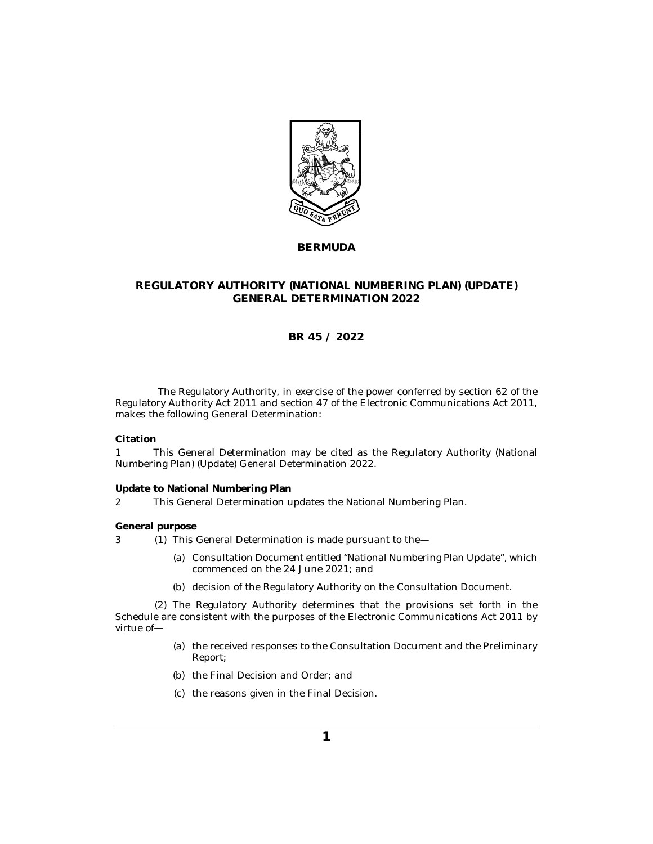

## **BERMUDA**

## **REGULATORY AUTHORITY (NATIONAL NUMBERING PLAN) (UPDATE) GENERAL DETERMINATION 2022**

# **BR 45 / 2022**

The Regulatory Authority, in exercise of the power conferred by section 62 of the Regulatory Authority Act 2011 and section 47 of the Electronic Communications Act 2011, makes the following General Determination:

**Citation**

This General Determination may be cited as the Regulatory Authority (National Numbering Plan) (Update) General Determination 2022. 1

#### **Update to National Numbering Plan**

This General Determination updates the National Numbering Plan. 2

#### **General purpose**

- 3 (1) This General Determination is made pursuant to the
	- (a) Consultation Document entitled "National Numbering Plan Update", which commenced on the 24 June 2021; and
	- (b) decision of the Regulatory Authority on the Consultation Document.

(2) The Regulatory Authority determines that the provisions set forth in the Schedule are consistent with the purposes of the Electronic Communications Act 2011 by virtue of—

- (a) the received responses to the Consultation Document and the Preliminary Report;
- (b) the Final Decision and Order; and
- (c) the reasons given in the Final Decision.